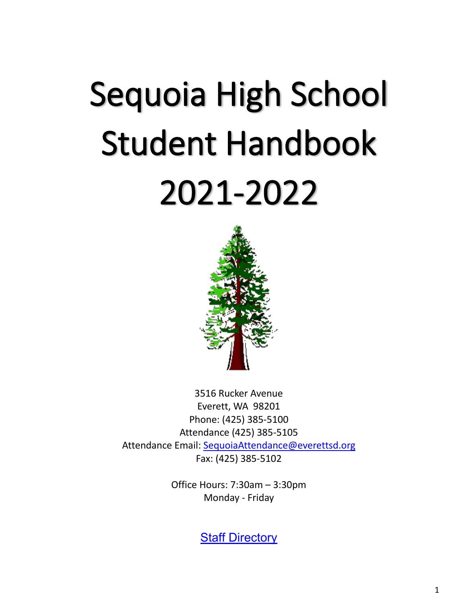# Sequoia High School Student Handbook 2021-2022



3516 Rucker Avenue Everett, WA 98201 Phone: (425) 385-5100 Attendance (425) 385-5105 Attendance Email: [SequoiaAttendance@everettsd.org](mailto:SequoiaAttendance@everettsd.org) Fax: (425) 385-5102

> Office Hours: 7:30am – 3:30pm Monday - Friday

> > **[Staff Directory](https://www.everettsd.org/site/default.aspx?DomainID=228)**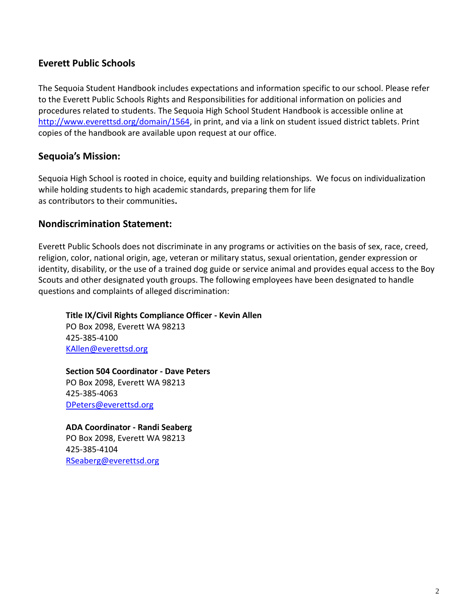#### **Everett Public Schools**

The Sequoia Student Handbook includes expectations and information specific to our school. Please refer to the Everett Public Schools Rights and Responsibilities for additional information on policies and procedures related to students. The Sequoia High School Student Handbook is accessible online at [http://www.everettsd.org/domain/1564,](http://www.everettsd.org/domain/1564) in print, and via a link on student issued district tablets. Print copies of the handbook are available upon request at our office.

#### **Sequoia's Mission:**

Sequoia High School is rooted in choice, equity and building relationships.  We focus on individualization while holding students to high academic standards, preparing them for life as contributors to their communities**.**

#### **Nondiscrimination Statement:**

Everett Public Schools does not discriminate in any programs or activities on the basis of sex, race, creed, religion, color, national origin, age, veteran or military status, sexual orientation, gender expression or identity, disability, or the use of a trained dog guide or service animal and provides equal access to the Boy Scouts and other designated youth groups. The following employees have been designated to handle questions and complaints of alleged discrimination:

**Title IX/Civil Rights Compliance Officer - Kevin Allen** PO Box 2098, Everett WA 98213 425-385-4100 [KAllen@everettsd.org](mailto:KAllen@everettsd.org)

**Section 504 Coordinator - Dave Peters** PO Box 2098, Everett WA 98213 425-385-4063 [DPeters@everettsd.org](mailto:DPeters@everettsd.org)

#### **ADA Coordinator - Randi Seaberg**

PO Box 2098, Everett WA 98213 425-385-4104 [RSeaberg@everettsd.org](mailto:RSeaberg@everettsd.org)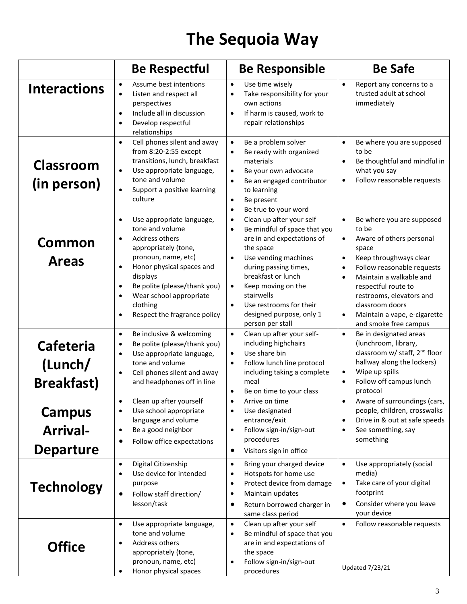### **The Sequoia Way**

|                                                      | <b>Be Respectful</b>                                                                                                                                                                                                                                                                                                                        | <b>Be Responsible</b>                                                                                                                                                                                                                                                                                                                                      | <b>Be Safe</b>                                                                                                                                                                                                                                                                                                                                                          |
|------------------------------------------------------|---------------------------------------------------------------------------------------------------------------------------------------------------------------------------------------------------------------------------------------------------------------------------------------------------------------------------------------------|------------------------------------------------------------------------------------------------------------------------------------------------------------------------------------------------------------------------------------------------------------------------------------------------------------------------------------------------------------|-------------------------------------------------------------------------------------------------------------------------------------------------------------------------------------------------------------------------------------------------------------------------------------------------------------------------------------------------------------------------|
| <b>Interactions</b>                                  | Assume best intentions<br>$\bullet$<br>Listen and respect all<br>$\bullet$<br>perspectives<br>Include all in discussion<br>$\bullet$<br>Develop respectful<br>$\bullet$<br>relationships                                                                                                                                                    | Use time wisely<br>$\bullet$<br>Take responsibility for your<br>$\bullet$<br>own actions<br>If harm is caused, work to<br>$\bullet$<br>repair relationships                                                                                                                                                                                                | $\bullet$<br>Report any concerns to a<br>trusted adult at school<br>immediately                                                                                                                                                                                                                                                                                         |
| <b>Classroom</b><br>(in person)                      | Cell phones silent and away<br>$\bullet$<br>from 8:20-2:55 except<br>transitions, lunch, breakfast<br>Use appropriate language,<br>$\bullet$<br>tone and volume<br>Support a positive learning<br>culture                                                                                                                                   | Be a problem solver<br>$\bullet$<br>Be ready with organized<br>materials<br>Be your own advocate<br>$\bullet$<br>Be an engaged contributor<br>$\bullet$<br>to learning<br>Be present<br>$\bullet$<br>Be true to your word<br>$\bullet$                                                                                                                     | Be where you are supposed<br>$\bullet$<br>to be<br>Be thoughtful and mindful in<br>$\bullet$<br>what you say<br>Follow reasonable requests<br>$\bullet$                                                                                                                                                                                                                 |
| <b>Common</b><br><b>Areas</b>                        | Use appropriate language,<br>$\bullet$<br>tone and volume<br>Address others<br>$\bullet$<br>appropriately (tone,<br>pronoun, name, etc)<br>Honor physical spaces and<br>$\bullet$<br>displays<br>Be polite (please/thank you)<br>$\bullet$<br>Wear school appropriate<br>$\bullet$<br>clothing<br>Respect the fragrance policy<br>$\bullet$ | Clean up after your self<br>$\bullet$<br>Be mindful of space that you<br>$\bullet$<br>are in and expectations of<br>the space<br>Use vending machines<br>$\bullet$<br>during passing times,<br>breakfast or lunch<br>Keep moving on the<br>$\bullet$<br>stairwells<br>Use restrooms for their<br>$\bullet$<br>designed purpose, only 1<br>person per stall | $\bullet$<br>Be where you are supposed<br>to be<br>Aware of others personal<br>$\bullet$<br>space<br>Keep throughways clear<br>$\bullet$<br>Follow reasonable requests<br>$\bullet$<br>Maintain a walkable and<br>$\bullet$<br>respectful route to<br>restrooms, elevators and<br>classroom doors<br>Maintain a vape, e-cigarette<br>$\bullet$<br>and smoke free campus |
| <b>Cafeteria</b><br>(Lunch/<br><b>Breakfast</b> )    | Be inclusive & welcoming<br>$\bullet$<br>Be polite (please/thank you)<br>$\bullet$<br>Use appropriate language,<br>$\bullet$<br>tone and volume<br>Cell phones silent and away<br>$\bullet$<br>and headphones off in line                                                                                                                   | Clean up after your self-<br>including highchairs<br>Use share bin<br>$\bullet$<br>Follow lunch line protocol<br>$\bullet$<br>including taking a complete<br>meal<br>Be on time to your class                                                                                                                                                              | Be in designated areas<br>$\bullet$<br>(lunchroom, library,<br>classroom w/ staff, 2 <sup>nd</sup> floor<br>hallway along the lockers)<br>Wipe up spills<br>$\bullet$<br>Follow off campus lunch<br>$\bullet$<br>protocol                                                                                                                                               |
| <b>Campus</b><br><b>Arrival-</b><br><b>Departure</b> | Clean up after yourself<br>Use school appropriate<br>$\bullet$<br>language and volume<br>Be a good neighbor<br>$\bullet$<br>Follow office expectations<br>$\bullet$                                                                                                                                                                         | Arrive on time<br>Use designated<br>$\bullet$<br>entrance/exit<br>Follow sign-in/sign-out<br>procedures<br>Visitors sign in office<br>$\bullet$                                                                                                                                                                                                            | Aware of surroundings (cars,<br>people, children, crosswalks<br>Drive in & out at safe speeds<br>$\bullet$<br>See something, say<br>$\bullet$<br>something                                                                                                                                                                                                              |
| <b>Technology</b>                                    | Digital Citizenship<br>$\bullet$<br>Use device for intended<br>$\bullet$<br>purpose<br>Follow staff direction/<br>lesson/task                                                                                                                                                                                                               | Bring your charged device<br>$\bullet$<br>Hotspots for home use<br>٠<br>Protect device from damage<br>٠<br>Maintain updates<br>٠<br>Return borrowed charger in<br>٠<br>same class period                                                                                                                                                                   | Use appropriately (social<br>$\bullet$<br>media)<br>Take care of your digital<br>$\bullet$<br>footprint<br>Consider where you leave<br>$\bullet$<br>your device                                                                                                                                                                                                         |
| <b>Office</b>                                        | Use appropriate language,<br>$\bullet$<br>tone and volume<br>Address others<br>$\bullet$<br>appropriately (tone,<br>pronoun, name, etc)<br>Honor physical spaces                                                                                                                                                                            | Clean up after your self<br>$\bullet$<br>Be mindful of space that you<br>$\bullet$<br>are in and expectations of<br>the space<br>Follow sign-in/sign-out<br>$\bullet$<br>procedures                                                                                                                                                                        | Follow reasonable requests<br>$\bullet$<br><b>Updated 7/23/21</b>                                                                                                                                                                                                                                                                                                       |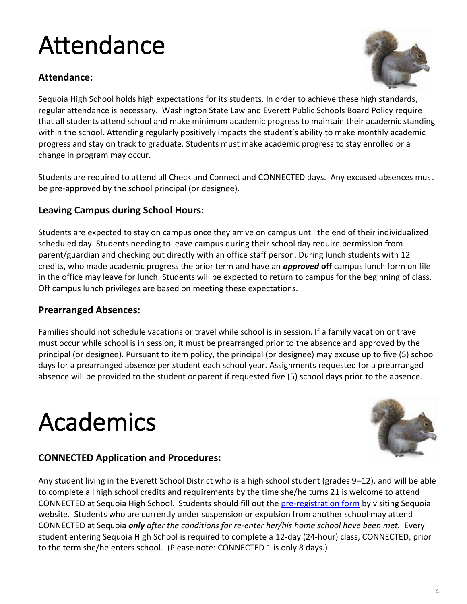### Attendance

#### **Attendance:**



Sequoia High School holds high expectations for its students. In order to achieve these high standards, regular attendance is necessary. Washington State Law and Everett Public Schools Board Policy require that all students attend school and make minimum academic progress to maintain their academic standing within the school. Attending regularly positively impacts the student's ability to make monthly academic progress and stay on track to graduate. Students must make academic progress to stay enrolled or a change in program may occur.

Students are required to attend all Check and Connect and CONNECTED days. Any excused absences must be pre-approved by the school principal (or designee).

#### **Leaving Campus during School Hours:**

Students are expected to stay on campus once they arrive on campus until the end of their individualized scheduled day. Students needing to leave campus during their school day require permission from parent/guardian and checking out directly with an office staff person. During lunch students with 12 credits, who made academic progress the prior term and have an *approved* **off** campus lunch form on file in the office may leave for lunch. Students will be expected to return to campus for the beginning of class. Off campus lunch privileges are based on meeting these expectations.

#### **Prearranged Absences:**

Families should not schedule vacations or travel while school is in session. If a family vacation or travel must occur while school is in session, it must be prearranged prior to the absence and approved by the principal (or designee). Pursuant to item policy, the principal (or designee) may excuse up to five (5) school days for a prearranged absence per student each school year. Assignments requested for a prearranged absence will be provided to the student or parent if requested five (5) school days prior to the absence.

### Academics



#### **CONNECTED Application and Procedures:**

Any student living in the Everett School District who is a high school student (grades 9–12), and will be able to complete all high school credits and requirements by the time she/he turns 21 is welcome to attend CONNECTED at Sequoia High School. Students should fill out the [pre-registration form](https://www.everettsd.org/site/default.aspx?PageType=3&DomainID=11&ModuleInstanceID=191382&ViewID=6446EE88-D30C-497E-9316-3F8874B3E108&RenderLoc=0&FlexDataID=168134&PageID=15) by visiting Sequoia website. Students who are currently under suspension or expulsion from another school may attend CONNECTED at Sequoia *only after the conditions for re-enter her/his home school have been met.* Every student entering Sequoia High School is required to complete a 12-day (24-hour) class, CONNECTED, prior to the term she/he enters school. (Please note: CONNECTED 1 is only 8 days.)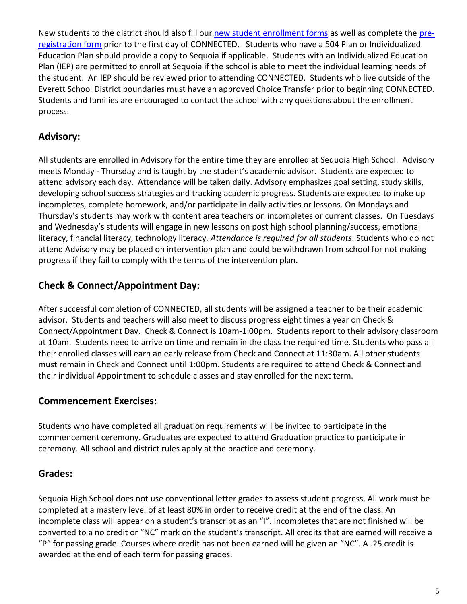New students to the district should also fill our [new student enrollment forms](https://www.everettsd.org/domain/1469) as well as complete th[e pre](https://www.everettsd.org/site/default.aspx?PageType=3&DomainID=11&ModuleInstanceID=191382&ViewID=6446EE88-D30C-497E-9316-3F8874B3E108&RenderLoc=0&FlexDataID=168134&PageID=15)[registration form](https://www.everettsd.org/site/default.aspx?PageType=3&DomainID=11&ModuleInstanceID=191382&ViewID=6446EE88-D30C-497E-9316-3F8874B3E108&RenderLoc=0&FlexDataID=168134&PageID=15) prior to the first day of CONNECTED. Students who have a 504 Plan or Individualized Education Plan should provide a copy to Sequoia if applicable. Students with an Individualized Education Plan (IEP) are permitted to enroll at Sequoia if the school is able to meet the individual learning needs of the student. An IEP should be reviewed prior to attending CONNECTED. Students who live outside of the Everett School District boundaries must have an approved Choice Transfer prior to beginning CONNECTED. Students and families are encouraged to contact the school with any questions about the enrollment process.

#### **Advisory:**

All students are enrolled in Advisory for the entire time they are enrolled at Sequoia High School. Advisory meets Monday - Thursday and is taught by the student's academic advisor. Students are expected to attend advisory each day. Attendance will be taken daily. Advisory emphasizes goal setting, study skills, developing school success strategies and tracking academic progress. Students are expected to make up incompletes, complete homework, and/or participate in daily activities or lessons. On Mondays and Thursday's students may work with content area teachers on incompletes or current classes. On Tuesdays and Wednesday's students will engage in new lessons on post high school planning/success, emotional literacy, financial literacy, technology literacy. *Attendance is required for all students*. Students who do not attend Advisory may be placed on intervention plan and could be withdrawn from school for not making progress if they fail to comply with the terms of the intervention plan.

#### **Check & Connect/Appointment Day:**

After successful completion of CONNECTED, all students will be assigned a teacher to be their academic advisor. Students and teachers will also meet to discuss progress eight times a year on Check & Connect/Appointment Day. Check & Connect is 10am-1:00pm. Students report to their advisory classroom at 10am. Students need to arrive on time and remain in the class the required time. Students who pass all their enrolled classes will earn an early release from Check and Connect at 11:30am. All other students must remain in Check and Connect until 1:00pm. Students are required to attend Check & Connect and their individual Appointment to schedule classes and stay enrolled for the next term.

#### **Commencement Exercises:**

Students who have completed all graduation requirements will be invited to participate in the commencement ceremony. Graduates are expected to attend Graduation practice to participate in ceremony. All school and district rules apply at the practice and ceremony.

#### **Grades:**

Sequoia High School does not use conventional letter grades to assess student progress. All work must be completed at a mastery level of at least 80% in order to receive credit at the end of the class. An incomplete class will appear on a student's transcript as an "I". Incompletes that are not finished will be converted to a no credit or "NC" mark on the student's transcript. All credits that are earned will receive a "P" for passing grade. Courses where credit has not been earned will be given an "NC". A .25 credit is awarded at the end of each term for passing grades.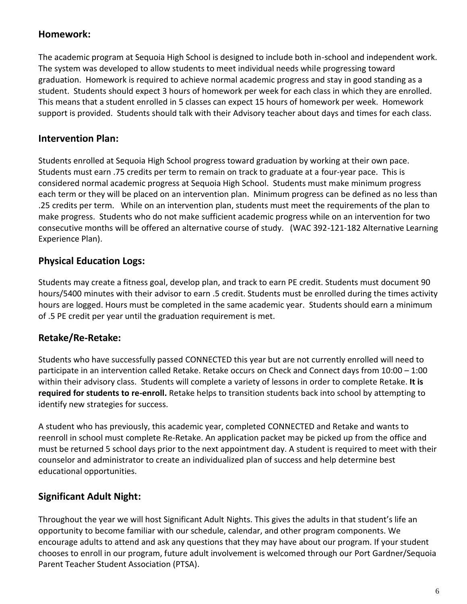#### **Homework:**

The academic program at Sequoia High School is designed to include both in-school and independent work. The system was developed to allow students to meet individual needs while progressing toward graduation. Homework is required to achieve normal academic progress and stay in good standing as a student. Students should expect 3 hours of homework per week for each class in which they are enrolled. This means that a student enrolled in 5 classes can expect 15 hours of homework per week. Homework support is provided. Students should talk with their Advisory teacher about days and times for each class.

#### **Intervention Plan:**

Students enrolled at Sequoia High School progress toward graduation by working at their own pace. Students must earn .75 credits per term to remain on track to graduate at a four-year pace. This is considered normal academic progress at Sequoia High School. Students must make minimum progress each term or they will be placed on an intervention plan. Minimum progress can be defined as no less than .25 credits per term. While on an intervention plan, students must meet the requirements of the plan to make progress. Students who do not make sufficient academic progress while on an intervention for two consecutive months will be offered an alternative course of study. (WAC 392-121-182 Alternative Learning Experience Plan).

#### **Physical Education Logs:**

Students may create a fitness goal, develop plan, and track to earn PE credit. Students must document 90 hours/5400 minutes with their advisor to earn .5 credit. Students must be enrolled during the times activity hours are logged. Hours must be completed in the same academic year. Students should earn a minimum of .5 PE credit per year until the graduation requirement is met.

#### **Retake/Re-Retake:**

Students who have successfully passed CONNECTED this year but are not currently enrolled will need to participate in an intervention called Retake. Retake occurs on Check and Connect days from 10:00 – 1:00 within their advisory class. Students will complete a variety of lessons in order to complete Retake. **It is required for students to re-enroll.** Retake helps to transition students back into school by attempting to identify new strategies for success.

A student who has previously, this academic year, completed CONNECTED and Retake and wants to reenroll in school must complete Re-Retake. An application packet may be picked up from the office and must be returned 5 school days prior to the next appointment day. A student is required to meet with their counselor and administrator to create an individualized plan of success and help determine best educational opportunities.

#### **Significant Adult Night:**

Throughout the year we will host Significant Adult Nights. This gives the adults in that student's life an opportunity to become familiar with our schedule, calendar, and other program components. We encourage adults to attend and ask any questions that they may have about our program. If your student chooses to enroll in our program, future adult involvement is welcomed through our Port Gardner/Sequoia Parent Teacher Student Association (PTSA).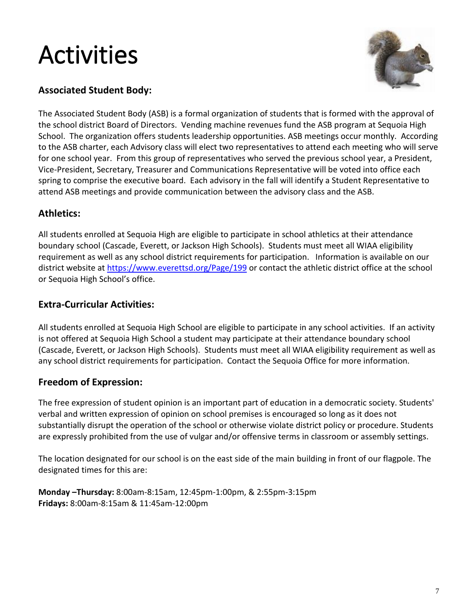### Activities



#### **Associated Student Body:**

The Associated Student Body (ASB) is a formal organization of students that is formed with the approval of the school district Board of Directors. Vending machine revenues fund the ASB program at Sequoia High School. The organization offers students leadership opportunities. ASB meetings occur monthly. According to the ASB charter, each Advisory class will elect two representatives to attend each meeting who will serve for one school year. From this group of representatives who served the previous school year, a President, Vice-President, Secretary, Treasurer and Communications Representative will be voted into office each spring to comprise the executive board. Each advisory in the fall will identify a Student Representative to attend ASB meetings and provide communication between the advisory class and the ASB.

#### **Athletics:**

All students enrolled at Sequoia High are eligible to participate in school athletics at their attendance boundary school (Cascade, Everett, or Jackson High Schools). Students must meet all WIAA eligibility requirement as well as any school district requirements for participation. Information is available on our district website at<https://www.everettsd.org/Page/199> or contact the athletic district office at the school or Sequoia High School's office.

#### **Extra-Curricular Activities:**

All students enrolled at Sequoia High School are eligible to participate in any school activities. If an activity is not offered at Sequoia High School a student may participate at their attendance boundary school (Cascade, Everett, or Jackson High Schools). Students must meet all WIAA eligibility requirement as well as any school district requirements for participation. Contact the Sequoia Office for more information.

#### **Freedom of Expression:**

The free expression of student opinion is an important part of education in a democratic society. Students' verbal and written expression of opinion on school premises is encouraged so long as it does not substantially disrupt the operation of the school or otherwise violate district policy or procedure. Students are expressly prohibited from the use of vulgar and/or offensive terms in classroom or assembly settings.

The location designated for our school is on the east side of the main building in front of our flagpole. The designated times for this are:

**Monday –Thursday:** 8:00am-8:15am, 12:45pm-1:00pm, & 2:55pm-3:15pm **Fridays:** 8:00am-8:15am & 11:45am-12:00pm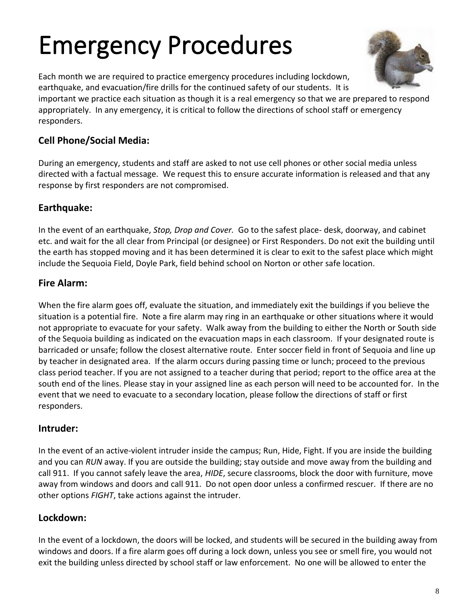## Emergency Procedures

Each month we are required to practice emergency procedures including lockdown, earthquake, and evacuation/fire drills for the continued safety of our students. It is

important we practice each situation as though it is a real emergency so that we are prepared to respond appropriately. In any emergency, it is critical to follow the directions of school staff or emergency responders.

#### **Cell Phone/Social Media:**

During an emergency, students and staff are asked to not use cell phones or other social media unless directed with a factual message. We request this to ensure accurate information is released and that any response by first responders are not compromised.

#### **Earthquake:**

In the event of an earthquake, *Stop, Drop and Cover.* Go to the safest place- desk, doorway, and cabinet etc. and wait for the all clear from Principal (or designee) or First Responders. Do not exit the building until the earth has stopped moving and it has been determined it is clear to exit to the safest place which might include the Sequoia Field, Doyle Park, field behind school on Norton or other safe location.

#### **Fire Alarm:**

When the fire alarm goes off, evaluate the situation, and immediately exit the buildings if you believe the situation is a potential fire. Note a fire alarm may ring in an earthquake or other situations where it would not appropriate to evacuate for your safety. Walk away from the building to either the North or South side of the Sequoia building as indicated on the evacuation maps in each classroom. If your designated route is barricaded or unsafe; follow the closest alternative route. Enter soccer field in front of Sequoia and line up by teacher in designated area. If the alarm occurs during passing time or lunch; proceed to the previous class period teacher. If you are not assigned to a teacher during that period; report to the office area at the south end of the lines. Please stay in your assigned line as each person will need to be accounted for. In the event that we need to evacuate to a secondary location, please follow the directions of staff or first responders.

#### **Intruder:**

In the event of an active-violent intruder inside the campus; Run, Hide, Fight. If you are inside the building and you can *RUN* away. If you are outside the building; stay outside and move away from the building and call 911. If you cannot safely leave the area, *HIDE*, secure classrooms, block the door with furniture, move away from windows and doors and call 911. Do not open door unless a confirmed rescuer. If there are no other options *FIGHT*, take actions against the intruder.

#### **Lockdown:**

In the event of a lockdown, the doors will be locked, and students will be secured in the building away from windows and doors. If a fire alarm goes off during a lock down, unless you see or smell fire, you would not exit the building unless directed by school staff or law enforcement. No one will be allowed to enter the

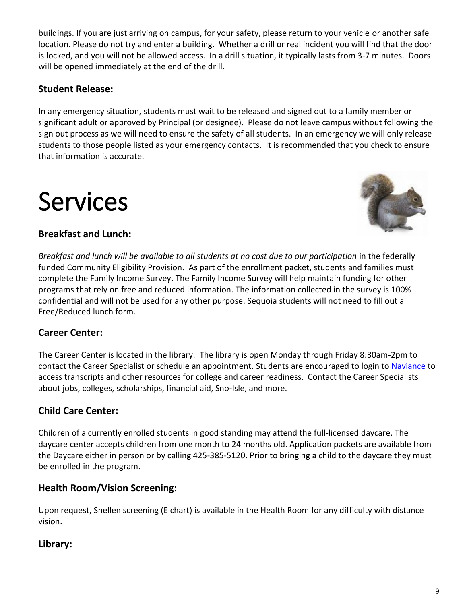buildings. If you are just arriving on campus, for your safety, please return to your vehicle or another safe location. Please do not try and enter a building. Whether a drill or real incident you will find that the door is locked, and you will not be allowed access. In a drill situation, it typically lasts from 3-7 minutes. Doors will be opened immediately at the end of the drill.

#### **Student Release:**

In any emergency situation, students must wait to be released and signed out to a family member or significant adult or approved by Principal (or designee). Please do not leave campus without following the sign out process as we will need to ensure the safety of all students. In an emergency we will only release students to those people listed as your emergency contacts. It is recommended that you check to ensure that information is accurate.

### Services



#### **Breakfast and Lunch:**

*Breakfast and lunch will be available to all students at no cost due to our participation* in the federally funded Community Eligibility Provision. As part of the enrollment packet, students and families must complete the Family Income Survey. The Family Income Survey will help maintain funding for other programs that rely on free and reduced information. The information collected in the survey is 100% confidential and will not be used for any other purpose. Sequoia students will not need to fill out a Free/Reduced lunch form.

#### **Career Center:**

The Career Center is located in the library. The library is open Monday through Friday 8:30am-2pm to contact the Career Specialist or schedule an appointment. Students are encouraged to login to [Naviance](https://clever.com/oauth/authorize?redirect_uri=https%3A%2F%2Fid.naviance.com%2Fclever%2Fredirect&client_id=998d799b68dd5e1b6a57&district_id=564dfd73f2571e01000000bf&response_type=code&skip=1&channel=instant_login_link&confirmed=true) to access transcripts and other resources for college and career readiness. Contact the Career Specialists about jobs, colleges, scholarships, financial aid, Sno-Isle, and more.

#### **Child Care Center:**

Children of a currently enrolled students in good standing may attend the full-licensed daycare. The daycare center accepts children from one month to 24 months old. Application packets are available from the Daycare either in person or by calling 425-385-5120. Prior to bringing a child to the daycare they must be enrolled in the program.

#### **Health Room/Vision Screening:**

Upon request, Snellen screening (E chart) is available in the Health Room for any difficulty with distance vision.

#### **Library:**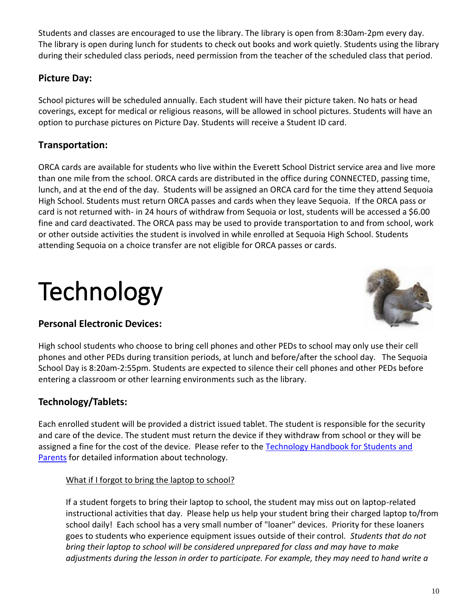Students and classes are encouraged to use the library. The library is open from 8:30am-2pm every day. The library is open during lunch for students to check out books and work quietly. Students using the library during their scheduled class periods, need permission from the teacher of the scheduled class that period.

#### **Picture Day:**

School pictures will be scheduled annually. Each student will have their picture taken. No hats or head coverings, except for medical or religious reasons, will be allowed in school pictures. Students will have an option to purchase pictures on Picture Day. Students will receive a Student ID card.

#### **Transportation:**

ORCA cards are available for students who live within the Everett School District service area and live more than one mile from the school. ORCA cards are distributed in the office during CONNECTED, passing time, lunch, and at the end of the day. Students will be assigned an ORCA card for the time they attend Sequoia High School. Students must return ORCA passes and cards when they leave Sequoia. If the ORCA pass or card is not returned with- in 24 hours of withdraw from Sequoia or lost, students will be accessed a \$6.00 fine and card deactivated. The ORCA pass may be used to provide transportation to and from school, work or other outside activities the student is involved in while enrolled at Sequoia High School. Students attending Sequoia on a choice transfer are not eligible for ORCA passes or cards.

### **Technology**

#### **Personal Electronic Devices:**



High school students who choose to bring cell phones and other PEDs to school may only use their cell phones and other PEDs during transition periods, at lunch and before/after the school day. The Sequoia School Day is 8:20am-2:55pm. Students are expected to silence their cell phones and other PEDs before entering a classroom or other learning environments such as the library.

#### **Technology/Tablets:**

Each enrolled student will be provided a district issued tablet. The student is responsible for the security and care of the device. The student must return the device if they withdraw from school or they will be assigned a fine for the cost of the device. Please refer to the [Technology Handbook for Students and](https://www.everettsd.org/Page/23798)  [Parents](https://www.everettsd.org/Page/23798) for detailed information about technology.

#### What if I forgot to bring the laptop to school?

If a student forgets to bring their laptop to school, the student may miss out on laptop-related instructional activities that day. Please help us help your student bring their charged laptop to/from school daily! Each school has a very small number of "loaner" devices. Priority for these loaners goes to students who experience equipment issues outside of their control. *Students that do not bring their laptop to school will be considered unprepared for class and may have to make adjustments during the lesson in order to participate. For example, they may need to hand write a*